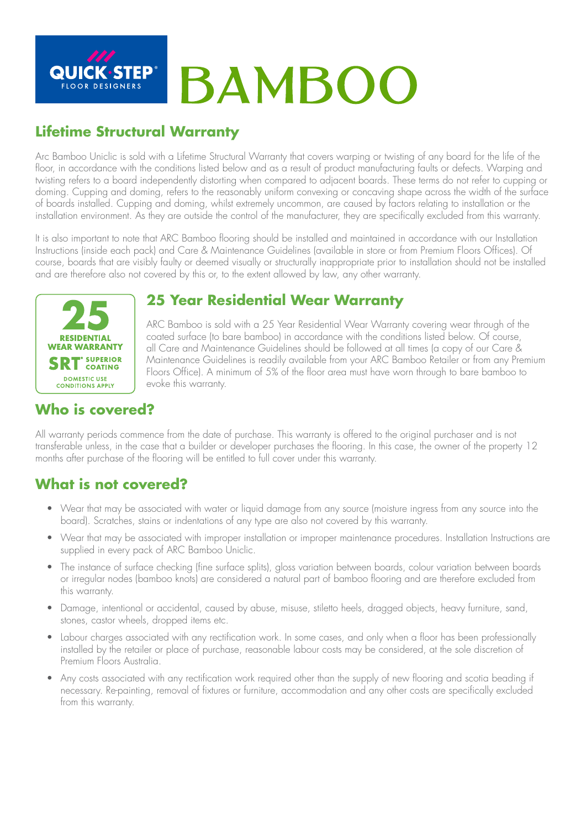

## **Lifetime Structural Warranty**

Arc Bamboo Uniclic is sold with a Lifetime Structural Warranty that covers warping or twisting of any board for the life of the floor, in accordance with the conditions listed below and as a result of product manufacturing faults or defects. Warping and twisting refers to a board independently distorting when compared to adjacent boards. These terms do not refer to cupping or doming. Cupping and doming, refers to the reasonably uniform convexing or concaving shape across the width of the surface of boards installed. Cupping and doming, whilst extremely uncommon, are caused by factors relating to installation or the installation environment. As they are outside the control of the manufacturer, they are specifically excluded from this warranty.

It is also important to note that ARC Bamboo flooring should be installed and maintained in accordance with our Installation Instructions (inside each pack) and Care & Maintenance Guidelines (available in store or from Premium Floors Offices). Of course, boards that are visibly faulty or deemed visually or structurally inappropriate prior to installation should not be installed and are therefore also not covered by this or, to the extent allowed by law, any other warranty.



#### **25 Year Residential Wear Warranty**

ARC Bamboo is sold with a 25 Year Residential Wear Warranty covering wear through of the coated surface (to bare bamboo) in accordance with the conditions listed below. Of course, all Care and Maintenance Guidelines should be followed at all times (a copy of our Care & Maintenance Guidelines is readily available from your ARC Bamboo Retailer or from any Premium Floors Office). A minimum of 5% of the floor area must have worn through to bare bamboo to evoke this warranty.

## **Who is covered?**

All warranty periods commence from the date of purchase. This warranty is offered to the original purchaser and is not transferable unless, in the case that a builder or developer purchases the flooring. In this case, the owner of the property 12 months after purchase of the flooring will be entitled to full cover under this warranty.

#### **What is not covered?**

- Wear that may be associated with water or liquid damage from any source (moisture ingress from any source into the board). Scratches, stains or indentations of any type are also not covered by this warranty.
- Wear that may be associated with improper installation or improper maintenance procedures. Installation Instructions are supplied in every pack of ARC Bamboo Uniclic.
- The instance of surface checking (fine surface splits), gloss variation between boards, colour variation between boards or irregular nodes (bamboo knots) are considered a natural part of bamboo flooring and are therefore excluded from this warranty.
- Damage, intentional or accidental, caused by abuse, misuse, stiletto heels, dragged objects, heavy furniture, sand, stones, castor wheels, dropped items etc.
- Labour charges associated with any rectification work. In some cases, and only when a floor has been professionally installed by the retailer or place of purchase, reasonable labour costs may be considered, at the sole discretion of Premium Floors Australia.
- Any costs associated with any rectification work required other than the supply of new flooring and scotia beading if necessary. Re-painting, removal of fixtures or furniture, accommodation and any other costs are specifically excluded from this warranty.